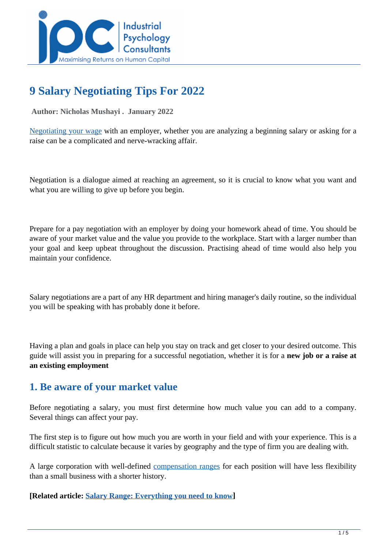

# **9 Salary Negotiating Tips For 2022**

 **Author: Nicholas Mushayi . January 2022** 

[Negotiating your wage](../articles/Negotiating-For-A-Dream-Salary-When-You-Get-A-New-Job) with an employer, whether you are analyzing a beginning salary or asking for a raise can be a complicated and nerve-wracking affair.

Negotiation is a dialogue aimed at reaching an agreement, so it is crucial to know what you want and what you are willing to give up before you begin.

Prepare for a pay negotiation with an employer by doing your homework ahead of time. You should be aware of your market value and the value you provide to the workplace. Start with a larger number than your goal and keep upbeat throughout the discussion. Practising ahead of time would also help you maintain your confidence.

Salary negotiations are a part of any HR department and hiring manager's daily routine, so the individual you will be speaking with has probably done it before.

Having a plan and goals in place can help you stay on track and get closer to your desired outcome. This guide will assist you in preparing for a successful negotiation, whether it is for a **new job or a raise at an existing employment**

# **1. Be aware of your market value**

Before negotiating a salary, you must first determine how much value you can add to a company. Several things can affect your pay.

The first step is to figure out how much you are worth in your field and with your experience. This is a difficult statistic to calculate because it varies by geography and the type of firm you are dealing with.

A large corporation with well-defined [compensation ranges](../articles/salary-range-everything-you-need-to-know) for each position will have less flexibility than a small business with a shorter history.

#### **[Related article: [Salary Range: Everything you need to know](../articles/salary-range-everything-you-need-to-know)]**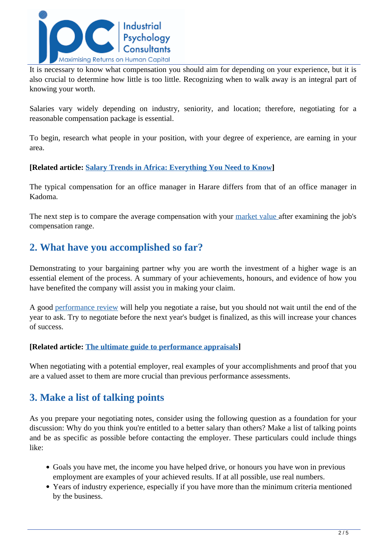

It is necessary to know what compensation you should aim for depending on your experience, but it is also crucial to determine how little is too little. Recognizing when to walk away is an integral part of knowing your worth.

Salaries vary widely depending on industry, seniority, and location; therefore, negotiating for a reasonable compensation package is essential.

To begin, research what people in your position, with your degree of experience, are earning in your area.

#### **[Related article: [Salary Trends in Africa: Everything You Need to Know](../articles/salary-trends-in-africa-everything-you-need-to-know)]**

The typical compensation for an office manager in Harare differs from that of an office manager in Kadoma.

The next step is to compare the average compensation with your [market value a](../market-salaries)fter examining the job's compensation range.

# **2. What have you accomplished so far?**

Demonstrating to your bargaining partner why you are worth the investment of a higher wage is an essential element of the process. A summary of your achievements, honours, and evidence of how you have benefited the company will assist you in making your claim.

A good [performance review](../articles/the-ultimate-guide-to-performance-appraisals) will help you negotiate a raise, but you should not wait until the end of the year to ask. Try to negotiate before the next year's budget is finalized, as this will increase your chances of success.

#### **[Related article: [The ultimate guide to performance appraisals\]](../articles/the-ultimate-guide-to-performance-appraisals)**

When negotiating with a potential employer, real examples of your accomplishments and proof that you are a valued asset to them are more crucial than previous performance assessments.

### **3. Make a list of talking points**

As you prepare your negotiating notes, consider using the following question as a foundation for your discussion: Why do you think you're entitled to a better salary than others? Make a list of talking points and be as specific as possible before contacting the employer. These particulars could include things like:

- Goals you have met, the income you have helped drive, or honours you have won in previous employment are examples of your achieved results. If at all possible, use real numbers.
- Years of industry experience, especially if you have more than the minimum criteria mentioned by the business.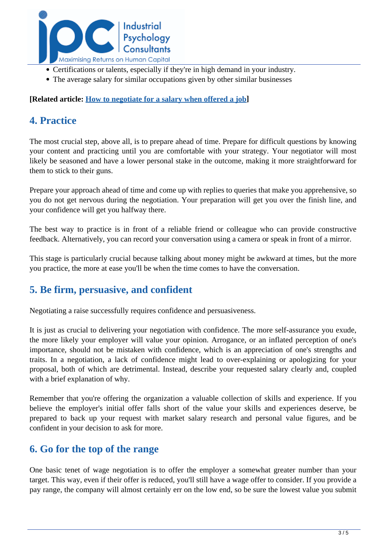

- Certifications or talents, especially if they're in high demand in your industry.
- The average salary for similar occupations given by other similar businesses

**[Related article: [How to negotiate for a salary when offered a job](../articles/How-To-Negotiate-For-A-Salary-When-Offered-A-Job)]**

# **4. Practice**

The most crucial step, above all, is to prepare ahead of time. Prepare for difficult questions by knowing your content and practicing until you are comfortable with your strategy. Your negotiator will most likely be seasoned and have a lower personal stake in the outcome, making it more straightforward for them to stick to their guns.

Prepare your approach ahead of time and come up with replies to queries that make you apprehensive, so you do not get nervous during the negotiation. Your preparation will get you over the finish line, and your confidence will get you halfway there.

The best way to practice is in front of a reliable friend or colleague who can provide constructive feedback. Alternatively, you can record your conversation using a camera or speak in front of a mirror.

This stage is particularly crucial because talking about money might be awkward at times, but the more you practice, the more at ease you'll be when the time comes to have the conversation.

# **5. Be firm, persuasive, and confident**

Negotiating a raise successfully requires confidence and persuasiveness.

It is just as crucial to delivering your negotiation with confidence. The more self-assurance you exude, the more likely your employer will value your opinion. Arrogance, or an inflated perception of one's importance, should not be mistaken with confidence, which is an appreciation of one's strengths and traits. In a negotiation, a lack of confidence might lead to over-explaining or apologizing for your proposal, both of which are detrimental. Instead, describe your requested salary clearly and, coupled with a brief explanation of why.

Remember that you're offering the organization a valuable collection of skills and experience. If you believe the employer's initial offer falls short of the value your skills and experiences deserve, be prepared to back up your request with market salary research and personal value figures, and be confident in your decision to ask for more.

### **6. Go for the top of the range**

One basic tenet of wage negotiation is to offer the employer a somewhat greater number than your target. This way, even if their offer is reduced, you'll still have a wage offer to consider. If you provide a pay range, the company will almost certainly err on the low end, so be sure the lowest value you submit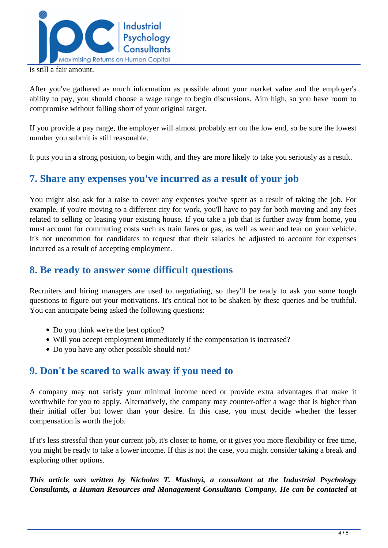

is still a fair amount.

After you've gathered as much information as possible about your market value and the employer's ability to pay, you should choose a wage range to begin discussions. Aim high, so you have room to compromise without falling short of your original target.

If you provide a pay range, the employer will almost probably err on the low end, so be sure the lowest number you submit is still reasonable.

It puts you in a strong position, to begin with, and they are more likely to take you seriously as a result.

# **7. Share any expenses you've incurred as a result of your job**

You might also ask for a raise to cover any expenses you've spent as a result of taking the job. For example, if you're moving to a different city for work, you'll have to pay for both moving and any fees related to selling or leasing your existing house. If you take a job that is further away from home, you must account for commuting costs such as train fares or gas, as well as wear and tear on your vehicle. It's not uncommon for candidates to request that their salaries be adjusted to account for expenses incurred as a result of accepting employment.

## **8. Be ready to answer some difficult questions**

Recruiters and hiring managers are used to negotiating, so they'll be ready to ask you some tough questions to figure out your motivations. It's critical not to be shaken by these queries and be truthful. You can anticipate being asked the following questions:

- Do you think we're the best option?
- Will you accept employment immediately if the compensation is increased?
- Do you have any other possible should not?

### **9. Don't be scared to walk away if you need to**

A company may not satisfy your minimal income need or provide extra advantages that make it worthwhile for you to apply. Alternatively, the company may counter-offer a wage that is higher than their initial offer but lower than your desire. In this case, you must decide whether the lesser compensation is worth the job.

If it's less stressful than your current job, it's closer to home, or it gives you more flexibility or free time, you might be ready to take a lower income. If this is not the case, you might consider taking a break and exploring other options.

*This article was written by Nicholas T. Mushayi, a consultant at the Industrial Psychology Consultants, a Human Resources and Management Consultants Company. He can be contacted at*